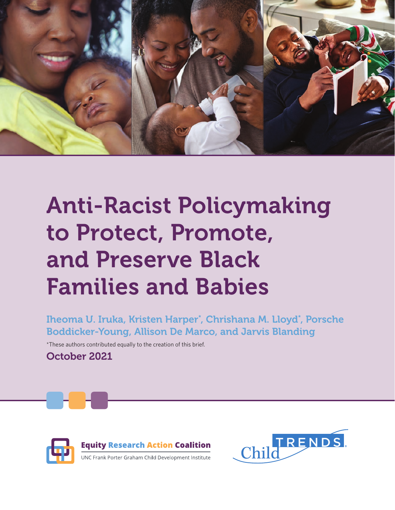

# Anti-Racist Policymaking to Protect, Promote, and Preserve Black Families and Babies

Iheoma U. Iruka, Kristen Harper\* , Chrishana M. Lloyd\* , Porsche Boddicker-Young, Allison De Marco, and Jarvis Blanding

\*These authors contributed equally to the creation of this brief.

October 2021



**Equity Research Action Coalition** UNC Frank Porter Graham Child Development Institute

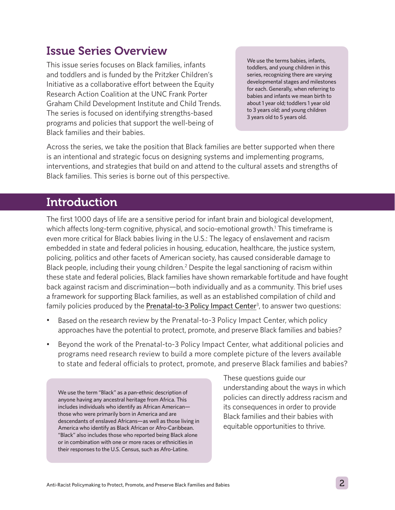#### Issue Series Overview

This issue series focuses on Black families, infants and toddlers and is funded by the Pritzker Children's Initiative as a collaborative effort between the Equity Research Action Coalition at the UNC Frank Porter Graham Child Development Institute and Child Trends. The series is focused on identifying strengths-based programs and policies that support the well-being of Black families and their babies.

We use the terms babies, infants, toddlers, and young children in this series, recognizing there are varying developmental stages and milestones for each. Generally, when referring to babies and infants we mean birth to about 1 year old; toddlers 1 year old to 3 years old; and young children 3 years old to 5 years old.

Across the series, we take the position that Black families are better supported when there is an intentional and strategic focus on designing systems and implementing programs, interventions, and strategies that build on and attend to the cultural assets and strengths of Black families. This series is borne out of this perspective.

#### **Introduction**

The first 1000 days of life are a sensitive period for infant brain and biological development, which affects long-term cognitive, physical, and socio-emotional growth.<sup>1</sup> This timeframe is even more critical for Black babies living in the U.S.: The legacy of enslavement and racism embedded in state and federal policies in housing, education, healthcare, the justice system, policing, politics and other facets of American society, has caused considerable damage to Black people, including their young children.<sup>2</sup> Despite the legal sanctioning of racism within these state and federal policies, Black families have shown remarkable fortitude and have fought back against racism and discrimination—both individually and as a community. This brief uses a framework for supporting Black families, as well as an established compilation of child and family policies produced by the [Prenatal-to-3 Policy Impact Center](https://pn3policy.org/)<sup>3</sup>, to answer two questions:

- Based on the research review by the Prenatal-to-3 Policy Impact Center, which policy approaches have the potential to protect, promote, and preserve Black families and babies?
- Beyond the work of the Prenatal-to-3 Policy Impact Center, what additional policies and programs need research review to build a more complete picture of the levers available to state and federal officials to protect, promote, and preserve Black families and babies?

We use the term "Black" as a pan-ethnic description of anyone having any ancestral heritage from Africa. This includes individuals who identify as African American those who were primarily born in America and are descendants of enslaved Africans—as well as those living in America who identify as Black African or Afro-Caribbean. "Black" also includes those who reported being Black alone or in combination with one or more races or ethnicities in their responses to the U.S. Census, such as Afro-Latine.

These questions guide our understanding about the ways in which policies can directly address racism and its consequences in order to provide Black families and their babies with equitable opportunities to thrive.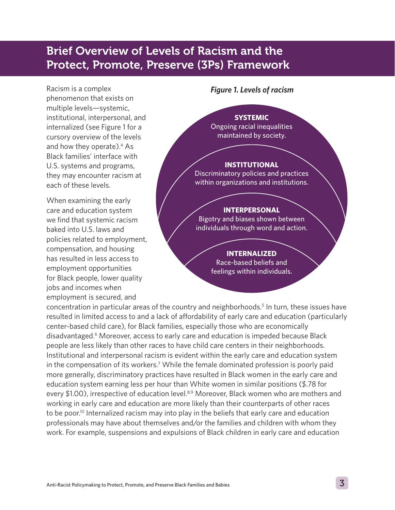### Brief Overview of Levels of Racism and the Protect, Promote, Preserve (3Ps) Framework

Racism is a complex phenomenon that exists on multiple levels—systemic, institutional, interpersonal, and internalized (see Figure 1 for a cursory overview of the levels and how they operate).<sup>4</sup> As Black families' interface with U.S. systems and programs, they may encounter racism at each of these levels.

When examining the early care and education system we find that systemic racism baked into U.S. laws and policies related to employment, compensation, and housing has resulted in less access to employment opportunities for Black people, lower quality jobs and incomes when employment is secured, and

#### *Figure 1. Levels of racism*

#### **SYSTEMIC**

Ongoing racial inequalities maintained by society.

#### **INSTITUTIONAL**

Discriminatory policies and practices within organizations and institutions.

#### **INTERPERSONAL**

Bigotry and biases shown between individuals through word and action.

#### **INTERNALIZED**

Race-based beliefs and feelings within individuals.

concentration in particular areas of the country and neighborhoods.<sup>5</sup> In turn, these issues have resulted in limited access to and a lack of affordability of early care and education (particularly center-based child care), for Black families, especially those who are economically disadvantaged.<sup>6</sup> Moreover, access to early care and education is impeded because Black people are less likely than other races to have child care centers in their neighborhoods. Institutional and interpersonal racism is evident within the early care and education system in the compensation of its workers.<sup>7</sup> While the female dominated profession is poorly paid more generally, discriminatory practices have resulted in Black women in the early care and education system earning less per hour than White women in similar positions (\$.78 for every \$1.00), irrespective of education level.<sup>8,9</sup> Moreover, Black women who are mothers and working in early care and education are more likely than their counterparts of other races to be poor.<sup>10</sup> Internalized racism may into play in the beliefs that early care and education professionals may have about themselves and/or the families and children with whom they work. For example, suspensions and expulsions of Black children in early care and education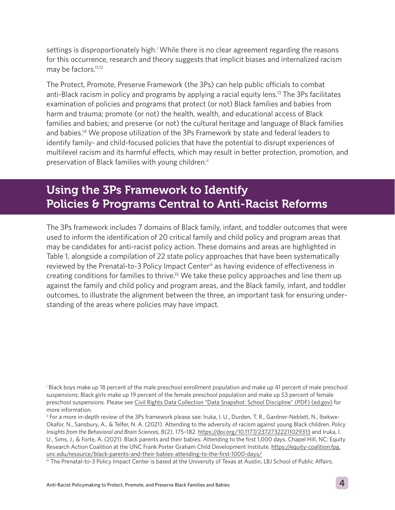settings is disproportionately high.<sup>†</sup> While there is no clear agreement regarding the reasons for this occurrence, research and theory suggests that implicit biases and internalized racism may be factors.<sup>11,12</sup>

The Protect, Promote, Preserve Framework (the 3Ps) can help public officials to combat anti-Black racism in policy and programs by applying a racial equity lens.<sup>13</sup> The 3Ps facilitates examination of policies and programs that protect (or not) Black families and babies from harm and trauma; promote (or not) the health, wealth, and educational access of Black families and babies; and preserve (or not) the cultural heritage and language of Black families and babies.14 We propose utilization of the 3Ps Framework by state and federal leaders to identify family- and child-focused policies that have the potential to disrupt experiences of multilevel racism and its harmful effects, which may result in better protection, promotion, and preservation of Black families with young children.<sup>ii</sup>

#### Using the 3Ps Framework to Identify Policies & Programs Central to Anti-Racist Reforms

The 3Ps framework includes 7 domains of Black family, infant, and toddler outcomes that were used to inform the identification of 20 critical family and child policy and program areas that may be candidates for anti-racist policy action. These domains and areas are highlighted in Table 1, alongside a compilation of 22 state policy approaches that have been systematically reviewed by the Prenatal-to-3 Policy Impact Center<sup>iii</sup> as having evidence of effectiveness in creating conditions for families to thrive.<sup>15</sup> We take these policy approaches and line them up against the family and child policy and program areas, and the Black family, infant, and toddler outcomes, to illustrate the alignment between the three, an important task for ensuring understanding of the areas where policies may have impact.

i Black boys make up 18 percent of the male preschool enrollment population and make up 41 percent of male preschool suspensions; Black girls make up 19 percent of the female preschool population and make up 53 percent of female preschool suspensions. Please see [Civil Rights Data Collection "Data Snapshot: School Discipline" \(PDF\) \(ed.gov\)](https://ocrdata.ed.gov/assets/downloads/CRDC-School-Discipline-Snapshot.pdf) for more information.

ii For a more in-depth review of the 3Ps framework please see: Iruka, I. U., Durden, T. R., Gardner-Neblett, N., Ibekwe-Okafor, N., Sansbury, A., & Telfer, N. A. (2021). Attending to the adversity of racism against young Black children. *Policy Insights from the Behavioral and Brain Sciences,* 8(2), 175–182.<https://doi.org/10.1177/23727322211029313> and Iruka, I. U., Sims, J., & Forte, A. (2021). Black parents and their babies: Attending to the first 1,000 days. Chapel Hill, NC: Equity Research Action Coalition at the UNC Frank Porter Graham Child Development Institute. [https://equity-coalition.fpg.](https://equity-coalition.fpg.unc.edu/resource/black-parents-and-their-babies-attending-to-the-first-1000-days/) [unc.edu/resource/black-parents-and-their-babies-attending-to-the-first-1000-days/](https://equity-coalition.fpg.unc.edu/resource/black-parents-and-their-babies-attending-to-the-first-1000-days/)

iii The Prenatal-to-3 Policy Impact Center is based at the University of Texas at Austin, LBJ School of Public Affairs.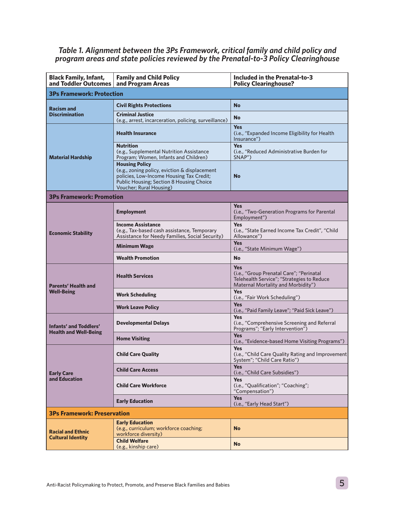#### *Table 1. Alignment between the 3Ps Framework, critical family and child policy and program areas and state policies reviewed by the Prenatal-to-3 Policy Clearinghouse*

| <b>Black Family, Infant,</b><br>and Toddler Outcomes          | <b>Family and Child Policy</b><br>and Program Areas                                                                                                                                              | Included in the Prenatal-to-3<br><b>Policy Clearinghouse?</b>                                                                              |
|---------------------------------------------------------------|--------------------------------------------------------------------------------------------------------------------------------------------------------------------------------------------------|--------------------------------------------------------------------------------------------------------------------------------------------|
| <b>3Ps Framework: Protection</b>                              |                                                                                                                                                                                                  |                                                                                                                                            |
| <b>Racism and</b><br><b>Discrimination</b>                    | <b>Civil Rights Protections</b>                                                                                                                                                                  | <b>No</b>                                                                                                                                  |
|                                                               | <b>Criminal Justice</b>                                                                                                                                                                          | <b>No</b>                                                                                                                                  |
| <b>Material Hardship</b>                                      | (e.g., arrest, incarceration, policing, surveillance)<br><b>Health Insurance</b>                                                                                                                 | <b>Yes</b><br>(i.e., "Expanded Income Eligibility for Health<br>Insurance")                                                                |
|                                                               | <b>Nutrition</b><br>(e.g., Supplemental Nutrition Assistance)<br>Program; Women, Infants and Children)                                                                                           | <b>Yes</b><br>(i.e., "Reduced Administrative Burden for<br>SNAP")                                                                          |
|                                                               | <b>Housing Policy</b><br>(e.g., zoning policy, eviction & displacement<br>policies, Low-Income Housing Tax Credit;<br><b>Public Housing; Section 8 Housing Choice</b><br>Voucher; Rural Housing) | <b>No</b>                                                                                                                                  |
| <b>3Ps Framework: Promotion</b>                               |                                                                                                                                                                                                  |                                                                                                                                            |
| <b>Economic Stability</b>                                     | <b>Employment</b>                                                                                                                                                                                | <b>Yes</b><br>(i.e., "Two-Generation Programs for Parental<br>Employment")                                                                 |
|                                                               | <b>Income Assistance</b><br>(e.g., Tax-based cash assistance, Temporary<br>Assistance for Needy Families, Social Security)                                                                       | <b>Yes</b><br>(i.e., "State Earned Income Tax Credit", "Child<br>Allowance")                                                               |
|                                                               | <b>Minimum Wage</b>                                                                                                                                                                              | <b>Yes</b><br>(i.e., "State Minimum Wage")                                                                                                 |
|                                                               | <b>Wealth Promotion</b>                                                                                                                                                                          | <b>No</b>                                                                                                                                  |
| <b>Parents' Health and</b><br><b>Well-Being</b>               | <b>Health Services</b>                                                                                                                                                                           | <b>Yes</b><br>(i.e., "Group Prenatal Care"; "Perinatal<br>Telehealth Service"; "Strategies to Reduce<br>Maternal Mortality and Morbidity") |
|                                                               | <b>Work Scheduling</b>                                                                                                                                                                           | <b>Yes</b><br>(i.e., "Fair Work Scheduling")                                                                                               |
|                                                               | <b>Work Leave Policy</b>                                                                                                                                                                         | <b>Yes</b><br>(i.e., "Paid Family Leave"; "Paid Sick Leave")                                                                               |
| <b>Infants' and Toddlers'</b><br><b>Health and Well-Being</b> | <b>Developmental Delays</b>                                                                                                                                                                      | <b>Yes</b><br>(i.e., "Comprehensive Screening and Referral<br>Programs"; "Early Intervention")                                             |
|                                                               | <b>Home Visiting</b>                                                                                                                                                                             | <b>Yes</b><br>(i.e., "Evidence-based Home Visiting Programs")                                                                              |
| <b>Early Care</b><br>and Education                            | <b>Child Care Quality</b>                                                                                                                                                                        | <b>Yes</b><br>(i.e., "Child Care Quality Rating and Improvement<br>System"; "Child Care Ratio")                                            |
|                                                               | <b>Child Care Access</b>                                                                                                                                                                         | <b>Yes</b><br>(i.e., "Child Care Subsidies")                                                                                               |
|                                                               | <b>Child Care Workforce</b>                                                                                                                                                                      | <b>Yes</b><br>(i.e., "Qualification"; "Coaching";<br>"Compensation")                                                                       |
|                                                               | <b>Early Education</b>                                                                                                                                                                           | <b>Yes</b><br>(i.e., "Early Head Start")                                                                                                   |
| <b>3Ps Framework: Preservation</b>                            |                                                                                                                                                                                                  |                                                                                                                                            |
| <b>Racial and Ethnic</b><br><b>Cultural Identity</b>          | <b>Early Education</b><br>(e.g., curriculum; workforce coaching;<br>workforce diversity)                                                                                                         | <b>No</b>                                                                                                                                  |
|                                                               | <b>Child Welfare</b><br>(e.g., kinship care)                                                                                                                                                     | <b>No</b>                                                                                                                                  |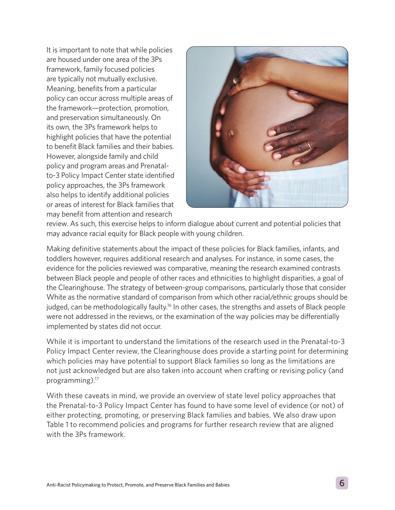It is important to note that while policies are housed under one area of the 3Ps framework, family focused policies are typically not mutually exclusive. Meaning, benefits from a particular policy can occur across multiple areas of the framework—protection, promotion, and preservation simultaneously. On its own, the 3Ps framework helps to highlight policies that have the potential to benefit Black families and their babies. However, alongside family and child policy and program areas and Prenatalto-3 Policy Impact Center state identified policy approaches, the 3Ps framework also helps to identify additional policies or areas of interest for Black families that may benefit from attention and research



review. As such, this exercise helps to inform dialogue about current and potential policies that may advance racial equity for Black people with young children.

Making definitive statements about the impact of these policies for Black families, infants, and toddlers however, requires additional research and analyses. For instance, in some cases, the evidence for the policies reviewed was comparative, meaning the research examined contrasts between Black people and people of other races and ethnicities to highlight disparities, a goal of the Clearinghouse. The strategy of between-group comparisons, particularly those that consider White as the normative standard of comparison from which other racial/ethnic groups should be judged, can be methodologically faulty.<sup>16</sup> In other cases, the strengths and assets of Black people were not addressed in the reviews, or the examination of the way policies may be differentially implemented by states did not occur.

While it is important to understand the limitations of the research used in the Prenatal-to-3 Policy Impact Center review, the Clearinghouse does provide a starting point for determining which policies may have potential to support Black families so long as the limitations are not just acknowledged but are also taken into account when crafting or revising policy (and programming).17

With these caveats in mind, we provide an overview of state level policy approaches that the Prenatal-to-3 Policy Impact Center has found to have some level of evidence (or not) of either protecting, promoting, or preserving Black families and babies. We also draw upon Table 1 to recommend policies and programs for further research review that are aligned with the 3Ps framework.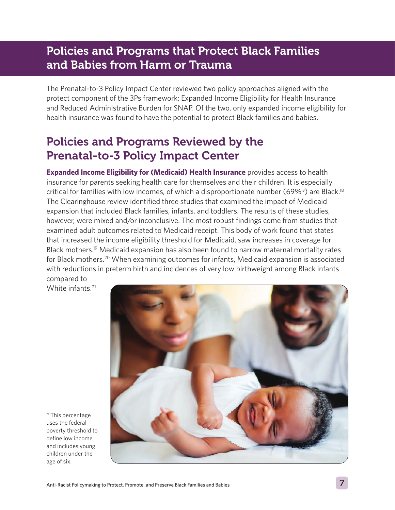### Policies and Programs that Protect Black Families and Babies from Harm or Trauma

The Prenatal-to-3 Policy Impact Center reviewed two policy approaches aligned with the protect component of the 3Ps framework: Expanded Income Eligibility for Health Insurance and Reduced Administrative Burden for SNAP. Of the two, only expanded income eligibility for health insurance was found to have the potential to protect Black families and babies.

### Policies and Programs Reviewed by the Prenatal-to-3 Policy Impact Center

**Expanded Income Eligibility for (Medicaid) Health Insurance** provides access to health insurance for parents seeking health care for themselves and their children. It is especially critical for families with low incomes, of which a disproportionate number (69%<sup>iv</sup>) are Black.<sup>18</sup> The Clearinghouse review identified three studies that examined the impact of Medicaid expansion that included Black families, infants, and toddlers. The results of these studies, however, were mixed and/or inconclusive. The most robust findings come from studies that examined adult outcomes related to Medicaid receipt. This body of work found that states that increased the income eligibility threshold for Medicaid, saw increases in coverage for Black mothers.19 Medicaid expansion has also been found to narrow maternal mortality rates for Black mothers.20 When examining outcomes for infants, Medicaid expansion is associated with reductions in preterm birth and incidences of very low birthweight among Black infants compared to

White infants.<sup>21</sup>



iv This percentage uses the federal poverty threshold to define low income and includes young children under the age of six.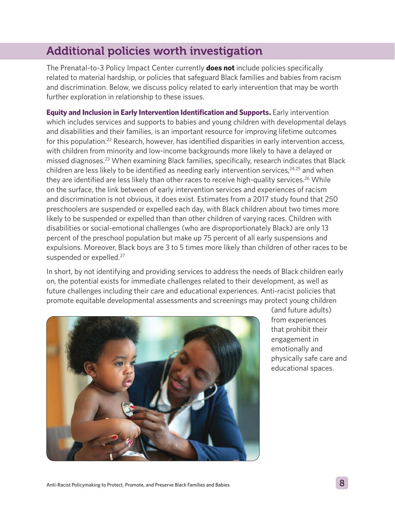### Additional policies worth investigation

The Prenatal-to-3 Policy Impact Center currently **does not** include policies specifically related to material hardship, or policies that safeguard Black families and babies from racism and discrimination. Below, we discuss policy related to early intervention that may be worth further exploration in relationship to these issues.

**Equity and Inclusion in Early Intervention Identification and Supports.** Early intervention which includes services and supports to babies and young children with developmental delays and disabilities and their families, is an important resource for improving lifetime outcomes for this population.<sup>22</sup> Research, however, has identified disparities in early intervention access, with children from minority and low-income backgrounds more likely to have a delayed or missed diagnoses.23 When examining Black families, specifically, research indicates that Black children are less likely to be identified as needing early intervention services,  $24,25$  and when they are identified are less likely than other races to receive high-quality services.<sup>26</sup> While on the surface, the link between of early intervention services and experiences of racism and discrimination is not obvious, it does exist. Estimates from a 2017 study found that 250 preschoolers are suspended or expelled each day, with Black children about two times more likely to be suspended or expelled than than other children of varying races. Children with disabilities or social-emotional challenges (who are disproportionately Black) are only 13 percent of the preschool population but make up 75 percent of all early suspensions and expulsions. Moreover, Black boys are 3 to 5 times more likely than children of other races to be suspended or expelled.<sup>27</sup>

In short, by not identifying and providing services to address the needs of Black children early on, the potential exists for immediate challenges related to their development, as well as future challenges including their care and educational experiences. Anti-racist policies that promote equitable developmental assessments and screenings may protect young children



(and future adults) from experiences that prohibit their engagement in emotionally and physically safe care and educational spaces.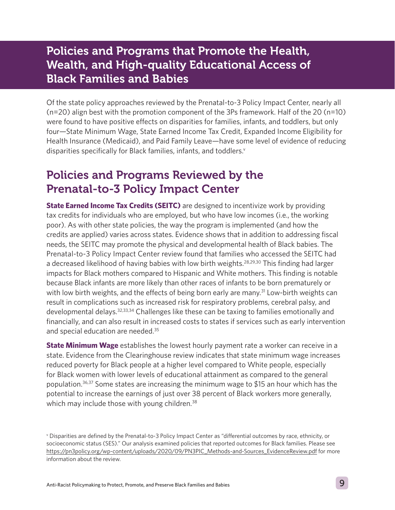#### Policies and Programs that Promote the Health, Wealth, and High-quality Educational Access of Black Families and Babies

Of the state policy approaches reviewed by the Prenatal-to-3 Policy Impact Center, nearly all (n=20) align best with the promotion component of the 3Ps framework. Half of the 20 (n=10) were found to have positive effects on disparities for families, infants, and toddlers, but only four—State Minimum Wage, State Earned Income Tax Credit, Expanded Income Eligibility for Health Insurance (Medicaid), and Paid Family Leave—have some level of evidence of reducing disparities specifically for Black families, infants, and toddlers.<sup>v</sup>

### Policies and Programs Reviewed by the Prenatal-to-3 Policy Impact Center

**State Earned Income Tax Credits (SEITC)** are designed to incentivize work by providing tax credits for individuals who are employed, but who have low incomes (i.e., the working poor). As with other state policies, the way the program is implemented (and how the credits are applied) varies across states. Evidence shows that in addition to addressing fiscal needs, the SEITC may promote the physical and developmental health of Black babies. The Prenatal-to-3 Policy Impact Center review found that families who accessed the SEITC had a decreased likelihood of having babies with low birth weights.<sup>28,29,30</sup> This finding had larger impacts for Black mothers compared to Hispanic and White mothers. This finding is notable because Black infants are more likely than other races of infants to be born prematurely or with low birth weights, and the effects of being born early are many.<sup>31</sup> Low-birth weights can result in complications such as increased risk for respiratory problems, cerebral palsy, and developmental delays.<sup>32,33,34</sup> Challenges like these can be taxing to families emotionally and financially, and can also result in increased costs to states if services such as early intervention and special education are needed.35

**State Minimum Wage** establishes the lowest hourly payment rate a worker can receive in a state. Evidence from the Clearinghouse review indicates that state minimum wage increases reduced poverty for Black people at a higher level compared to White people, especially for Black women with lower levels of educational attainment as compared to the general population.36,37 Some states are increasing the minimum wage to \$15 an hour which has the potential to increase the earnings of just over 38 percent of Black workers more generally, which may include those with young children.<sup>38</sup>

v Disparities are defined by the Prenatal-to-3 Policy Impact Center as "differential outcomes by race, ethnicity, or socioeconomic status (SES)." Our analysis examined policies that reported outcomes for Black families. Please see [https://pn3policy.org/wp-content/uploads/2020/09/PN3PIC\\_Methods-and-Sources\\_EvidenceReview.pdf](https://pn3policy.org/wp-content/uploads/2020/09/PN3PIC_Methods-and-Sources_EvidenceReview.pdf) for more information about the review.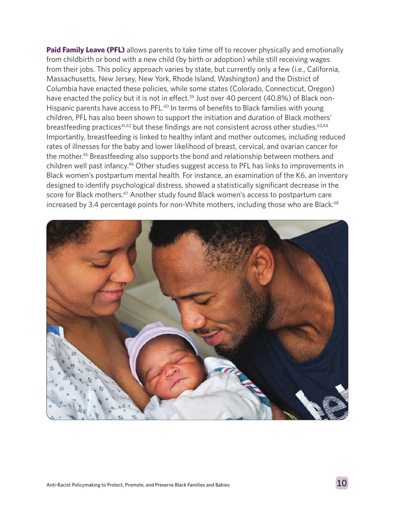**Paid Family Leave (PFL)** allows parents to take time off to recover physically and emotionally from childbirth or bond with a new child (by birth or adoption) while still receiving wages from their jobs. This policy approach varies by state, but currently only a few (i.e., California, Massachusetts, New Jersey, New York, Rhode Island, Washington) and the District of Columbia have enacted these policies, while some states (Colorado, Connecticut, Oregon) have enacted the policy but it is not in effect.<sup>39</sup> Just over 40 percent (40.8%) of Black non-Hispanic parents have access to PFL.<sup>40</sup> In terms of benefits to Black families with young children, PFL has also been shown to support the initiation and duration of Black mothers' breastfeeding practices<sup>41,42</sup> but these findings are not consistent across other studies.<sup>43,44</sup> Importantly, breastfeeding is linked to healthy infant and mother outcomes, including reduced rates of illnesses for the baby and lower likelihood of breast, cervical, and ovarian cancer for the mother.45 Breastfeeding also supports the bond and relationship between mothers and children well past infancy.<sup>46</sup> Other studies suggest access to PFL has links to improvements in Black women's postpartum mental health. For instance, an examination of the K6, an inventory designed to identify psychological distress, showed a statistically significant decrease in the score for Black mothers.<sup>47</sup> Another study found Black women's access to postpartum care increased by 3.4 percentage points for non-White mothers, including those who are Black.<sup>48</sup>

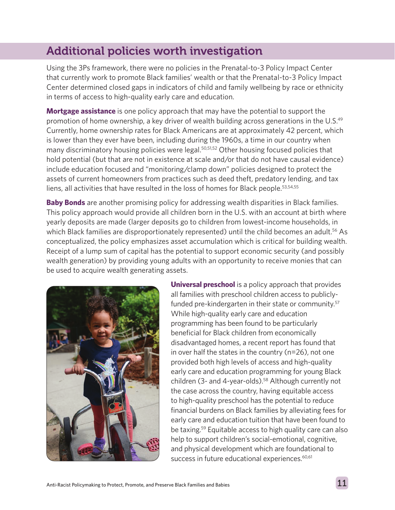### Additional policies worth investigation

Using the 3Ps framework, there were no policies in the Prenatal-to-3 Policy Impact Center that currently work to promote Black families' wealth or that the Prenatal-to-3 Policy Impact Center determined closed gaps in indicators of child and family wellbeing by race or ethnicity in terms of access to high-quality early care and education.

**Mortgage assistance** is one policy approach that may have the potential to support the promotion of home ownership, a key driver of wealth building across generations in the U.S.<sup>49</sup> Currently, home ownership rates for Black Americans are at approximately 42 percent, which is lower than they ever have been, including during the 1960s, a time in our country when many discriminatory housing policies were legal.<sup>50,51,52</sup> Other housing focused policies that hold potential (but that are not in existence at scale and/or that do not have causal evidence) include education focused and "monitoring/clamp down" policies designed to protect the assets of current homeowners from practices such as deed theft, predatory lending, and tax liens, all activities that have resulted in the loss of homes for Black people.53,54,55

**Baby Bonds** are another promising policy for addressing wealth disparities in Black families. This policy approach would provide all children born in the U.S. with an account at birth where yearly deposits are made (larger deposits go to children from lowest-income households, in which Black families are disproportionately represented) until the child becomes an adult.<sup>56</sup> As conceptualized, the policy emphasizes asset accumulation which is critical for building wealth. Receipt of a lump sum of capital has the potential to support economic security (and possibly wealth generation) by providing young adults with an opportunity to receive monies that can be used to acquire wealth generating assets.



**Universal preschool** is a policy approach that provides all families with preschool children access to publiclyfunded pre-kindergarten in their state or community.<sup>57</sup> While high-quality early care and education programming has been found to be particularly beneficial for Black children from economically disadvantaged homes, a recent report has found that in over half the states in the country (n=26), not one provided both high levels of access and high-quality early care and education programming for young Black children (3- and 4-year-olds). $58$  Although currently not the case across the country, having equitable access to high-quality preschool has the potential to reduce financial burdens on Black families by alleviating fees for early care and education tuition that have been found to be taxing.59 Equitable access to high quality care can also help to support children's social-emotional, cognitive, and physical development which are foundational to success in future educational experiences.<sup>60,61</sup>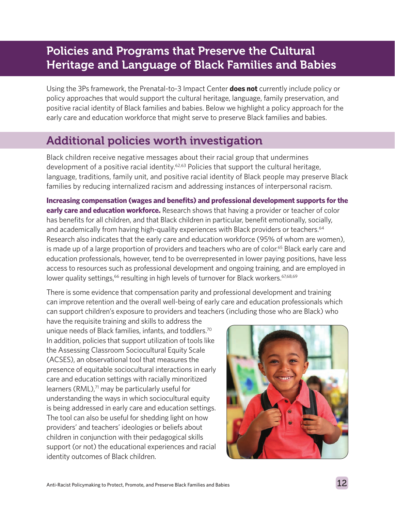### Policies and Programs that Preserve the Cultural Heritage and Language of Black Families and Babies

Using the 3Ps framework, the Prenatal-to-3 Impact Center **does not** currently include policy or policy approaches that would support the cultural heritage, language, family preservation, and positive racial identity of Black families and babies. Below we highlight a policy approach for the early care and education workforce that might serve to preserve Black families and babies.

### Additional policies worth investigation

Black children receive negative messages about their racial group that undermines development of a positive racial identity.<sup>62,63</sup> Policies that support the cultural heritage, language, traditions, family unit, and positive racial identity of Black people may preserve Black families by reducing internalized racism and addressing instances of interpersonal racism.

**Increasing compensation (wages and benefits) and professional development supports for the early care and education workforce.** Research shows that having a provider or teacher of color has benefits for all children, and that Black children in particular, benefit emotionally, socially, and academically from having high-quality experiences with Black providers or teachers.<sup>64</sup> Research also indicates that the early care and education workforce (95% of whom are women), is made up of a large proportion of providers and teachers who are of color.<sup>65</sup> Black early care and education professionals, however, tend to be overrepresented in lower paying positions, have less access to resources such as professional development and ongoing training, and are employed in lower quality settings,<sup>66</sup> resulting in high levels of turnover for Black workers.<sup>67,68,69</sup>

There is some evidence that compensation parity and professional development and training can improve retention and the overall well-being of early care and education professionals which can support children's exposure to providers and teachers (including those who are Black) who

have the requisite training and skills to address the unique needs of Black families, infants, and toddlers.<sup>70</sup> In addition, policies that support utilization of tools like the Assessing Classroom Sociocultural Equity Scale (ACSES), an observational tool that measures the presence of equitable sociocultural interactions in early care and education settings with racially minoritized learners (RML),<sup>71</sup> may be particularly useful for understanding the ways in which sociocultural equity is being addressed in early care and education settings. The tool can also be useful for shedding light on how providers' and teachers' ideologies or beliefs about children in conjunction with their pedagogical skills support (or not) the educational experiences and racial identity outcomes of Black children.

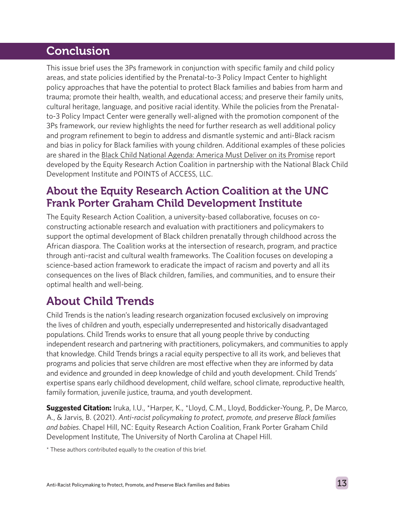#### Conclusion

This issue brief uses the 3Ps framework in conjunction with specific family and child policy areas, and state policies identified by the Prenatal-to-3 Policy Impact Center to highlight policy approaches that have the potential to protect Black families and babies from harm and trauma; promote their health, wealth, and educational access; and preserve their family units, cultural heritage, language, and positive racial identity. While the policies from the Prenatalto-3 Policy Impact Center were generally well-aligned with the promotion component of the 3Ps framework, our review highlights the need for further research as well additional policy and program refinement to begin to address and dismantle systemic and anti-Black racism and bias in policy for Black families with young children. Additional examples of these policies are shared in the [Black Child National Agenda: America Must Deliver on its Promise](https://equity-coalition.fpg.unc.edu/resource/black-child-national-agenda-america-must-deliver-on-its-promise/) report developed by the Equity Research Action Coalition in partnership with the National Black Child Development Institute and POINTS of ACCESS, LLC.

#### About the Equity Research Action Coalition at the UNC Frank Porter Graham Child Development Institute

The Equity Research Action Coalition, a university-based collaborative, focuses on coconstructing actionable research and evaluation with practitioners and policymakers to support the optimal development of Black children prenatally through childhood across the African diaspora. The Coalition works at the intersection of research, program, and practice through anti-racist and cultural wealth frameworks. The Coalition focuses on developing a science-based action framework to eradicate the impact of racism and poverty and all its consequences on the lives of Black children, families, and communities, and to ensure their optimal health and well-being.

## About Child Trends

Child Trends is the nation's leading research organization focused exclusively on improving the lives of children and youth, especially underrepresented and historically disadvantaged populations. Child Trends works to ensure that all young people thrive by conducting independent research and partnering with practitioners, policymakers, and communities to apply that knowledge. Child Trends brings a racial equity perspective to all its work, and believes that programs and policies that serve children are most effective when they are informed by data and evidence and grounded in deep knowledge of child and youth development. Child Trends' expertise spans early childhood development, child welfare, school climate, reproductive health, family formation, juvenile justice, trauma, and youth development.

**Suggested Citation:** Iruka, I.U., \*Harper, K., \*Lloyd, C.M., Lloyd, Boddicker-Young, P., De Marco, A., & Jarvis, B. (2021). *Anti-racist policymaking to protect, promote, and preserve Black families and babies*. Chapel Hill, NC: Equity Research Action Coalition, Frank Porter Graham Child Development Institute, The University of North Carolina at Chapel Hill.

\* These authors contributed equally to the creation of this brief.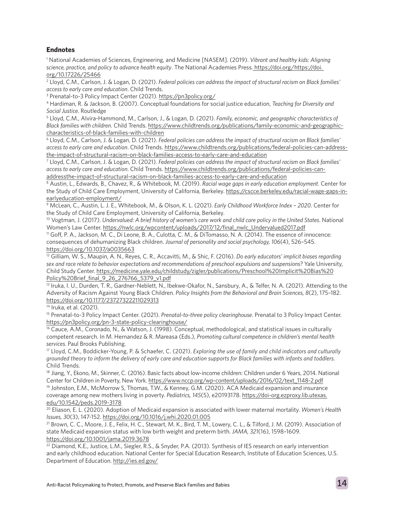#### **Endnotes**

1 National Academies of Sciences, Engineering, and Medicine [NASEM]. (2019). *Vibrant and healthy kids: Aligning science, practice, and policy to advance health equity*. The National Academies Press[. https://doi.org/https://doi.]( https://doi.org/https://doi. org/10.17226/25466)  [org/10.17226/25466]( https://doi.org/https://doi. org/10.17226/25466)

2 Lloyd, C.M., Carlson, J. & Logan, D. (2021). *Federal policies can address the impact of structural racism on Black families' access to early care and education*. Child Trends.

<sup>3</sup> Prenatal-to-3 Policy Impact Center (2021).<https://pn3policy.org/>

4 Hardiman, R. & Jackson, B. (2007). Conceptual foundations for social justice education, *Teaching for Diversity and Social Justice*. Routledge

5 Lloyd, C.M., Alvira-Hammond, M., Carlson, J., & Logan, D. (2021). *Family, economic, and geographic characteristics of Black families with children*. Child Trends. [https://www.childtrends.org/publications/family-economic-and-geographic](https://www.childtrends.org/publications/family-economic-and-geographic-characteristics-of-black-fam)[characteristics-of-black-families-with-children](https://www.childtrends.org/publications/family-economic-and-geographic-characteristics-of-black-fam)

6 Lloyd, C.M., Carlson, J. & Logan, D. (2021). *Federal policies can address the impact of structural racism on Black families' access to early care and education*. Child Trends. [https://www.childtrends.org/publications/federal-policies-can-address](https://www.childtrends.org/publications/federal-policies-can-address-the-impact-of-structural-racis)[the-impact-of-structural-racism-on-black-families-access-to-early-care-and-education](https://www.childtrends.org/publications/federal-policies-can-address-the-impact-of-structural-racis)

7 Lloyd, C.M., Carlson, J. & Logan, D. (2021). *Federal policies can address the impact of structural racism on Black families' access to early care and education*. Child Trends. [https://www.childtrends.org/publications/federal-policies-can](https://www.childtrends.org/publications/federal-policies-can-addressthe-impact-of-structural-racism-on-black-families-access-to-early-care-and-education)[addressthe-impact-of-structural-racism-on-black-families-access-to-early-care-and-education](https://www.childtrends.org/publications/federal-policies-can-addressthe-impact-of-structural-racism-on-black-families-access-to-early-care-and-education)

8 Austin, L., Edwards, B., Chavez, R., & Whitebook, M. (2019). *Racial wage gaps in early education employment*. Center for the Study of Child Care Employment, University of California, Berkeley. [https://cscce.berkeley.edu/racial-wage-gaps-in](https://cscce.berkeley.edu/racial-wage-gaps-in-earlyeducation-employment/)[earlyeducation-employment/](https://cscce.berkeley.edu/racial-wage-gaps-in-earlyeducation-employment/)

9 McLean, C., Austin, L. J. E., Whitebook, M., & Olson, K. L. (2021). *Early Childhood Workforce Index – 2020*. Center for the Study of Child Care Employment, University of California, Berkeley.

10 Vogtman, J. (2017). *Undervalued: A brief history of women's care work and child care policy in the United States*. National Women's Law Center. [https://nwlc.org/wpcontent/uploads/2017/12/final\\_nwlc\\_Undervalued2017.pdf](https://nwlc.org/wpcontent/uploads/2017/12/final_nwlc_Undervalued2017.pdf)

11 Goff, P. A., Jackson, M. C., Di Leone, B. A., Culotta, C. M., & DiTomasso, N. A. (2014). The essence of innocence: consequences of dehumanizing Black children. *Journal of personality and social psychology, 106*(4), 526–545. <https://doi.org/10.1037/a0035663>

12 Gilliam, W. S., Maupin, A. N., Reyes, C. R., Accavitti, M., & Shic, F. (2016). *Do early educators' implicit biases regarding sex and race relate to behavior expectations and recommendations of preschool expulsions and suspensions?* Yale University, Child Study Center. [https://medicine.yale.edu/childstudy/zigler/publications/Preschool%20Implicit%20Bias%20](https://medicine.yale.edu/childstudy/zigler/publications/Preschool%20Implicit%20Bias%20Policy%20Brie) [Policy%20Brief\\_final\\_9\\_26\\_276766\\_5379\\_v1.pdf](https://medicine.yale.edu/childstudy/zigler/publications/Preschool%20Implicit%20Bias%20Policy%20Brie)

<sup>13</sup> Iruka, I. U., Durden, T. R., Gardner-Neblett, N., Ibekwe-Okafor, N., Sansbury, A., & Telfer, N. A. (2021). Attending to the Adversity of Racism Against Young Black Children. *Policy Insights from the Behavioral and Brain Sciences, 8*(2), 175–182. <https://doi.org/10.1177/23727322211029313>

14 Iruka, et al. (2021).

15 Prenatal-to-3 Policy Impact Center. (2021). *Prenatal-to-three policy clearinghouse*. Prenatal to 3 Policy Impact Center. <https://pn3policy.org/pn-3-state-policy-clearinghouse/>

16 Cauce, A.M., Coronado, N., & Watson, J. (1998). Conceptual, methodological, and statistical issues in culturally competent research. In M. Hernandez & R. Mareasa (Eds.), *Promoting cultural competence in children's mental health services*. Paul Brooks Publishing.

17 Lloyd, C.M., Boddicker-Young, P. & Schaefer, C. (2021). *Exploring the use of family and child indicators and culturally grounded theory to inform the delivery of early care and education supports for Black families with infants and toddlers*. Child Trends.

18 Jiang, Y., Ekono, M., Skinner, C. (2016). Basic facts about low-income children: Children under 6 Years, 2014. National Center for Children in Poverty, New York. [https://www.nccp.org/wp-content/uploads/2016/02/text\\_1148-2.pdf](https://www.nccp.org/wp-content/uploads/2016/02/text_1148-2.pdf)

<sup>19</sup> Johnston, E.M., McMorrow S, Thomas, T.W., & Kenney, G.M. (2020). ACA Medicaid expansion and insurance coverage among new mothers living in poverty. *Pediatrics, 145*(5), e20193178. [https://doi-org.ezproxy.lib.utexas.](https://doi-org.ezproxy.lib.utexas.edu/10.1542/peds.2019-3178) [edu/10.1542/peds.2019-3178](https://doi-org.ezproxy.lib.utexas.edu/10.1542/peds.2019-3178)

20 Eliason, E. L. (2020). Adoption of Medicaid expansion is associated with lower maternal mortality. *Women's Health Issues, 30*(3), 147-152.<https://doi.org/10.1016/j.whi.2020.01.005>

<sup>21</sup> Brown, C. C., Moore, J. E., Felix, H. C., Stewart, M. K., Bird, T. M., Lowery, C. L., & Tilford, J. M. (2019). Association of state Medicaid expansion status with low birth weight and preterm birth. *JAMA, 321*(16), 1598–1609. <https://doi.org/10.1001/jama.2019.3678>

<sup>22</sup> Diamond, K.E., Justice, L.M., Siegler, R.S., & Snyder, P.A. (2013). Synthesis of IES research on early intervention and early childhood education. National Center for Special Education Research, Institute of Education Sciences, U.S. Department of Education.<http://ies.ed.gov/>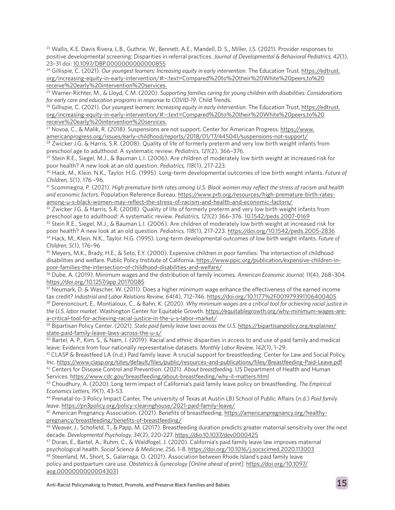23 Wallis, K.E. Davis Rivera, L.B., Guthrie, W., Bennett, A.E., Mandell, D. S., Miller, J.S. (2021). Provider responses to positive developmental screening: Disparities in referral practices. *Journal of Developmental & Behavioral Pediatrics, 42*(1), 23–31 doi: [10.1097/DBP.0000000000000855](http://10.1097/DBP.0000000000000855)

<sup>24</sup> Gillispie, C. (2021). Our youngest learners: Increasing equity in early intervention. The Education Trust. [https://edtrust.](https://edtrust.org/increasing-equity-in-early-intervention/#:~:text=Compared%20to%20their%20White%20peers,to%20receive%20early%20intervention%20services.) [org/increasing-equity-in-early-intervention/#:~:text=Compared%20to%20their%20White%20peers,to%20](https://edtrust.org/increasing-equity-in-early-intervention/#:~:text=Compared%20to%20their%20White%20peers,to%20receive%20early%20intervention%20services.) [receive%20early%20intervention%20services.](https://edtrust.org/increasing-equity-in-early-intervention/#:~:text=Compared%20to%20their%20White%20peers,to%20receive%20early%20intervention%20services.)

25 Warner-Richter, M., & Lloyd, C.M. (2020). *Supporting families caring for young children with disabilities: Considerations for early care and education programs in response to COVID-19*. Child Trends.

26 Gillispie, C. (2021). *Our youngest learners: Increasing equity in early intervention*. The Education Trust. [https://edtrust.](https://edtrust.org/increasing-equity-in-early-intervention/#:~:text=Compared%20to%20their%20White%20peers,to%20receive%20early%20intervention%20services.) [org/increasing-equity-in-early-intervention/#:~:text=Compared%20to%20their%20White%20peers,to%20](https://edtrust.org/increasing-equity-in-early-intervention/#:~:text=Compared%20to%20their%20White%20peers,to%20receive%20early%20intervention%20services.) [receive%20early%20intervention%20services.](https://edtrust.org/increasing-equity-in-early-intervention/#:~:text=Compared%20to%20their%20White%20peers,to%20receive%20early%20intervention%20services.)

27 Novoa, C., & Malik, R. (2018). Suspensions are not support. Center for American Progress. [https://www.](https://www.americanprogress.org/issues/early-childhood/reports/2018/01/17/445041/suspensions-not-support/) [americanprogress.org/issues/early-childhood/reports/2018/01/17/445041/suspensions-not-support/](https://www.americanprogress.org/issues/early-childhood/reports/2018/01/17/445041/suspensions-not-support/)

<sup>28</sup> Zwicker J.G. & Harris, S.R. (2008). Quality of life of formerly preterm and very low birth weight infants from preschool age to adulthood: A systematic review. *Pediatrics, 121*(2), 366–376.

29 Stein R.E., Siegel, M.J., & Bauman L.I. (2006). Are children of moderately low birth weight at increased risk for poor health? A new look at an old question. *Pediatrics, 118*(1), 217-223.

30 Hack, M., Klein. N.K., Taylor. H.G. (1995). Long-term developmental outcomes of low birth weight infants. *Future of Children, 5*(1), 176 –96.

31 Scommegna, P. (2021). *High premature birth rates among U.S. Black women may reflect the stress of racism and health and economic factors*. Population Reference Bureau. [https://www.prb.org/resources/high-premature-birth-rates](https://www.prb.org/resources/high-premature-birth-rates-among-u-s-black-women-may-reflect-the-stress-of-racism-and-health-and-economic-factors/)[among-u-s-black-women-may-reflect-the-stress-of-racism-and-health-and-economic-factors/](https://www.prb.org/resources/high-premature-birth-rates-among-u-s-black-women-may-reflect-the-stress-of-racism-and-health-and-economic-factors/)

 $32$  Zwicker J.G. & Harris, S.R. (2008). Quality of life of formerly preterm and very low birth weight infants from preschool age to adulthood: A systematic review. *Pediatrics, 121*(2) 366–376. [10.1542/peds.2007-0169](http://10.1542/peds.2007-0169)

33 Stein R.E., Siegel, M.J., & Bauman L.I. (2006). Are children of moderately low birth weight at increased risk for poor health? A new look at an old question. *Pediatrics, 118*(1), 217-223. <https://doi.org/10.1542/peds.2005-2836> 34 Hack, M., Klein. N.K., Taylor. H.G. (1995). Long-term developmental outcomes of low birth weight infants. *Future of Children, 5*(1), 176–96

35 Meyers, M.K., Brady, H.E., & Seto, E.Y. (2000). Expensive children in poor families: The intersection of childhood disabilities and welfare. Public Policy Institute of California. [https://www.ppic.org/publication/expensive-children-in](https://www.ppic.org/publication/expensive-children-in-poor-families-the-intersection-of-childhood-disabilities-and-welfare/)[poor-families-the-intersection-of-childhood-disabilities-and-welfare/](https://www.ppic.org/publication/expensive-children-in-poor-families-the-intersection-of-childhood-disabilities-and-welfare/)

36 Dube, A. (2019). Minimum wages and the distribution of family incomes. *American Economic Journal, 11*(4), 268–304. <https://doi.org/10.1257/app.20170085>

37 Neumark, D. & Wascher, W. (2011). Does a higher minimum wage enhance the effectiveness of the earned income tax credit? *Industrial and Labor Relations Review, 64*(4), 712–746.<https://doi.org/10.1177%2F001979391106400405>

38 Derenoncourt, E., Montialoux, C., & Bahn, K. (2020). *Why minimum wages are a critical tool for achieving racial justice in the U.S. labor market*. Washington Center for Equitable Growth. [https://equitablegrowth.org/why-minimum-wages-are](https://equitablegrowth.org/why-minimum-wages-are-a-critical-tool-for-achieving-racial-justice-in-the-u-s-labor-market/)[a-critical-tool-for-achieving-racial-justice-in-the-u-s-labor-market/](https://equitablegrowth.org/why-minimum-wages-are-a-critical-tool-for-achieving-racial-justice-in-the-u-s-labor-market/)

<sup>39</sup> Bipartisan Policy Center. (2021). *State paid family leave laws across the U.S.* https://bipartisanpolicy.org/explainer/ state-paid-family-leave-laws-across-the-u-s/

40 Bartel, A. P., Kim, S., & Nam, J. (2019). Racial and ethnic disparities in access to and use of paid family and medical leave: Evidence from four nationally representative datasets. *Monthly Labor Review, 142*(1), 1–29.

 $41$  CLASP & Breastfeed LA (n.d.) Paid family leave: A crucial support for breastfeeding. Center for Law and Social Policy, Inc.<https://www.clasp.org/sites/default/files/public/resources-and-publications/files/Breastfeeding-Paid-Leave.pdf> 42 Centers for Disease Control and Prevention. (2021). *About breastfeeding*. US Department of Health and Human

Services. <https://www.cdc.gov/breastfeeding/about-breastfeeding/why-it-matters.html>

43 Choudhury, A. (2020). Long term impact of California's paid family leave policy on breastfeeding. *The Empirical Economics Letters, 19*(1), 43-53.

44 Prenatal-to-3 Policy Impact Canter, The university of Texas at Austin LBJ School of Public Affairs (n.d.) *Paid family leave*.<https://pn3policy.org/policy-clearinghouse/2021-paid-family-leave/>

45 American Pregnancy Association. (2021). Benefits of breastfeeding. [https://americanpregnancy.org/healthy](https://americanpregnancy.org/healthy-pregnancy/breastfeeding/benefits-of-breastfeeding/)[pregnancy/breastfeeding/benefits-of-breastfeeding/](https://americanpregnancy.org/healthy-pregnancy/breastfeeding/benefits-of-breastfeeding/)

46 Weaver, J., Schofield, T., & Papp, M. (2017). Breastfeeding duration predicts greater maternal sensitivity over the next decade. *Developmental Psychology, 34*(2), 220-227.<https://dio.10.1037/dev0000425>

47 Doran, E., Bartel, A., Ruhm, C., & Waldfogel, J. (2020). California's paid family leave law improves maternal psychological health. *Social Science & Medicine, 256,* 1-8. <https://doi.org/10.1016/j.socscimed.2020.113003>

<sup>48</sup> Steenland, M., Short, S., Galarraga, O. (2021). Association between Rhode Island's paid family leave policy and postpartum care use. *Obstetrics & Gynecology [Online ahead of print].* [https://doi.org/10.1097/](https://doi.org/10.1097/aog.0000000000004303) [aog.0000000000004303\]](https://doi.org/10.1097/aog.0000000000004303)